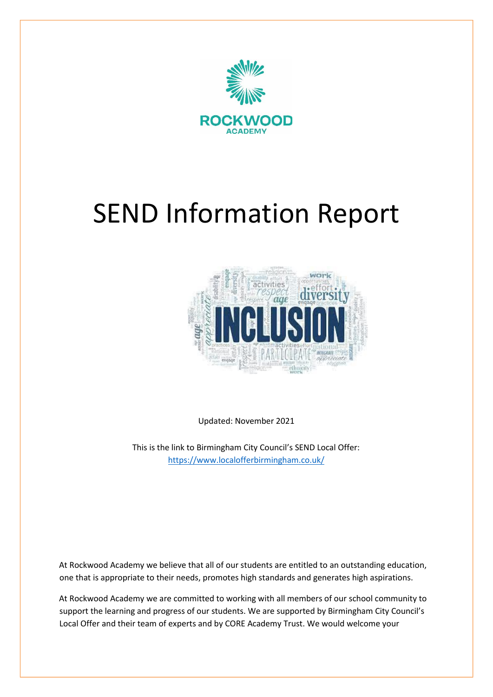



Updated: November 2021

This is the link to Birmingham City Council's SEND Local Offer: <https://www.localofferbirmingham.co.uk/>

At Rockwood Academy we believe that all of our students are entitled to an outstanding education, one that is appropriate to their needs, promotes high standards and generates high aspirations.

At Rockwood Academy we are committed to working with all members of our school community to support the learning and progress of our students. We are supported by Birmingham City Council's Local Offer and their team of experts and by CORE Academy Trust. We would welcome your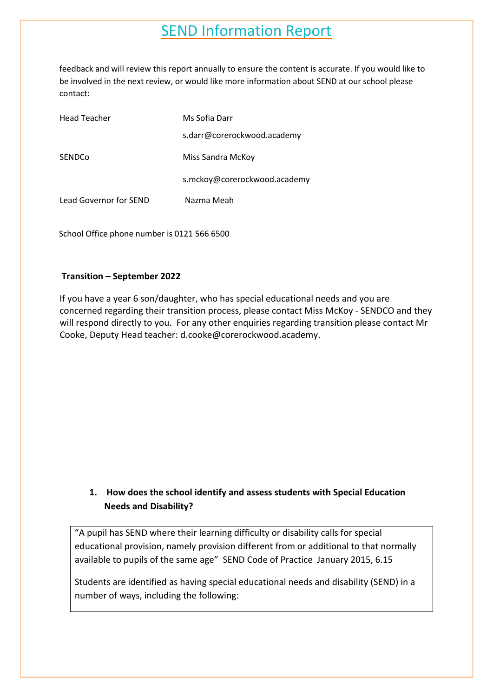feedback and will review this report annually to ensure the content is accurate. If you would like to be involved in the next review, or would like more information about SEND at our school please contact:

| <b>Head Teacher</b>    | Ms Sofia Darr                |
|------------------------|------------------------------|
|                        | s.darr@corerockwood.academy  |
| SENDCo                 | Miss Sandra McKoy            |
|                        | s.mckoy@corerockwood.academy |
| Lead Governor for SEND | Nazma Meah                   |

School Office phone number is 0121 566 6500

#### **Transition – September 2022**

If you have a year 6 son/daughter, who has special educational needs and you are concerned regarding their transition process, please contact Miss McKoy - SENDCO and they will respond directly to you. For any other enquiries regarding transition please contact Mr Cooke, Deputy Head teacher: d.cooke@corerockwood.academy.

#### **1. How does the school identify and assess students with Special Education Needs and Disability?**

"A pupil has SEND where their learning difficulty or disability calls for special educational provision, namely provision different from or additional to that normally available to pupils of the same age" SEND Code of Practice January 2015, 6.15

Students are identified as having special educational needs and disability (SEND) in a number of ways, including the following: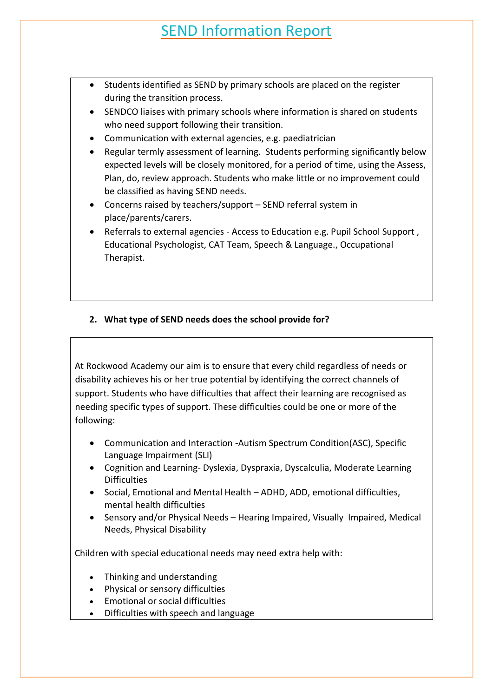- Students identified as SEND by primary schools are placed on the register during the transition process.
- SENDCO liaises with primary schools where information is shared on students who need support following their transition.
- Communication with external agencies, e.g. paediatrician
- Regular termly assessment of learning. Students performing significantly below expected levels will be closely monitored, for a period of time, using the Assess, Plan, do, review approach. Students who make little or no improvement could be classified as having SEND needs.
- Concerns raised by teachers/support SEND referral system in place/parents/carers.
- Referrals to external agencies Access to Education e.g. Pupil School Support , Educational Psychologist, CAT Team, Speech & Language., Occupational Therapist.

#### **2. What type of SEND needs does the school provide for?**

At Rockwood Academy our aim is to ensure that every child regardless of needs or disability achieves his or her true potential by identifying the correct channels of support. Students who have difficulties that affect their learning are recognised as needing specific types of support. These difficulties could be one or more of the following:

- Communication and Interaction -Autism Spectrum Condition(ASC), Specific Language Impairment (SLI)
- Cognition and Learning- Dyslexia, Dyspraxia, Dyscalculia, Moderate Learning **Difficulties**
- Social, Emotional and Mental Health ADHD, ADD, emotional difficulties, mental health difficulties
- Sensory and/or Physical Needs Hearing Impaired, Visually Impaired, Medical Needs, Physical Disability

Children with special educational needs may need extra help with:

- Thinking and understanding
- Physical or sensory difficulties
- Emotional or social difficulties
- Difficulties with speech and language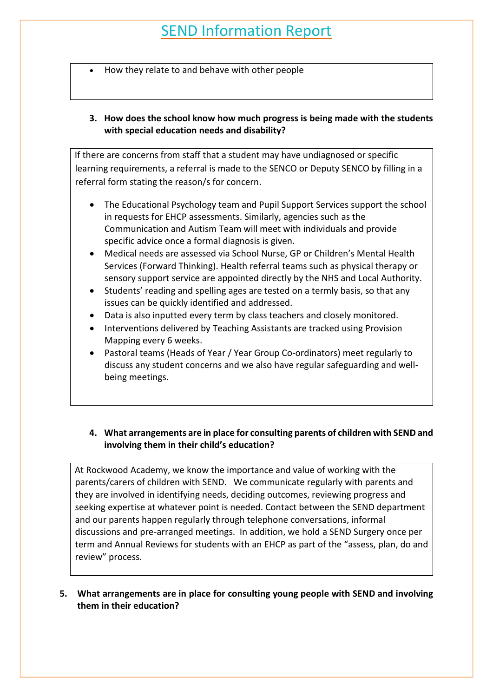- How they relate to and behave with other people
- **3. How does the school know how much progress is being made with the students with special education needs and disability?**

If there are concerns from staff that a student may have undiagnosed or specific learning requirements, a referral is made to the SENCO or Deputy SENCO by filling in a referral form stating the reason/s for concern.

- The Educational Psychology team and Pupil Support Services support the school in requests for EHCP assessments. Similarly, agencies such as the Communication and Autism Team will meet with individuals and provide specific advice once a formal diagnosis is given.
- Medical needs are assessed via School Nurse, GP or Children's Mental Health Services (Forward Thinking). Health referral teams such as physical therapy or sensory support service are appointed directly by the NHS and Local Authority.
- Students' reading and spelling ages are tested on a termly basis, so that any issues can be quickly identified and addressed.
- Data is also inputted every term by class teachers and closely monitored.
- Interventions delivered by Teaching Assistants are tracked using Provision Mapping every 6 weeks.
- Pastoral teams (Heads of Year / Year Group Co-ordinators) meet regularly to discuss any student concerns and we also have regular safeguarding and wellbeing meetings.

#### **4. What arrangements are in place for consulting parents of children with SEND and involving them in their child's education?**

At Rockwood Academy, we know the importance and value of working with the parents/carers of children with SEND. We communicate regularly with parents and they are involved in identifying needs, deciding outcomes, reviewing progress and seeking expertise at whatever point is needed. Contact between the SEND department and our parents happen regularly through telephone conversations, informal discussions and pre-arranged meetings. In addition, we hold a SEND Surgery once per term and Annual Reviews for students with an EHCP as part of the "assess, plan, do and review" process.

**5. What arrangements are in place for consulting young people with SEND and involving them in their education?**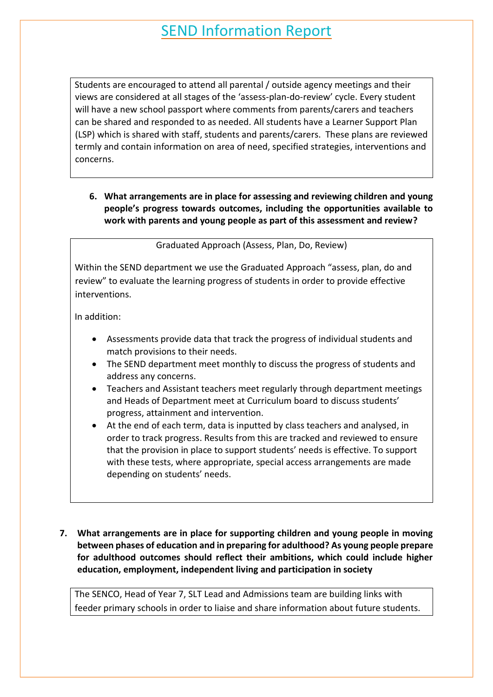Students are encouraged to attend all parental / outside agency meetings and their views are considered at all stages of the 'assess-plan-do-review' cycle. Every student will have a new school passport where comments from parents/carers and teachers can be shared and responded to as needed. All students have a Learner Support Plan (LSP) which is shared with staff, students and parents/carers. These plans are reviewed termly and contain information on area of need, specified strategies, interventions and concerns.

**6. What arrangements are in place for assessing and reviewing children and young people's progress towards outcomes, including the opportunities available to work with parents and young people as part of this assessment and review?**

Graduated Approach (Assess, Plan, Do, Review)

Within the SEND department we use the Graduated Approach "assess, plan, do and review" to evaluate the learning progress of students in order to provide effective interventions.

In addition:

- Assessments provide data that track the progress of individual students and match provisions to their needs.
- The SEND department meet monthly to discuss the progress of students and address any concerns.
- Teachers and Assistant teachers meet regularly through department meetings and Heads of Department meet at Curriculum board to discuss students' progress, attainment and intervention.
- At the end of each term, data is inputted by class teachers and analysed, in order to track progress. Results from this are tracked and reviewed to ensure that the provision in place to support students' needs is effective. To support with these tests, where appropriate, special access arrangements are made depending on students' needs.
- **7. What arrangements are in place for supporting children and young people in moving between phases of education and in preparing for adulthood? As young people prepare for adulthood outcomes should reflect their ambitions, which could include higher education, employment, independent living and participation in society**

The SENCO, Head of Year 7, SLT Lead and Admissions team are building links with feeder primary schools in order to liaise and share information about future students.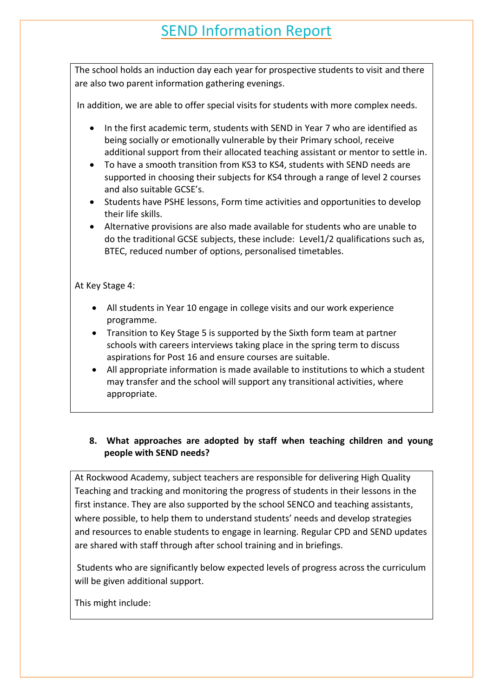The school holds an induction day each year for prospective students to visit and there are also two parent information gathering evenings.

In addition, we are able to offer special visits for students with more complex needs.

- In the first academic term, students with SEND in Year 7 who are identified as being socially or emotionally vulnerable by their Primary school, receive additional support from their allocated teaching assistant or mentor to settle in.
- To have a smooth transition from KS3 to KS4, students with SEND needs are supported in choosing their subjects for KS4 through a range of level 2 courses and also suitable GCSE's.
- Students have PSHE lessons, Form time activities and opportunities to develop their life skills.
- Alternative provisions are also made available for students who are unable to do the traditional GCSE subjects, these include: Level1/2 qualifications such as, BTEC, reduced number of options, personalised timetables.

#### At Key Stage 4:

- All students in Year 10 engage in college visits and our work experience programme.
- Transition to Key Stage 5 is supported by the Sixth form team at partner schools with careers interviews taking place in the spring term to discuss aspirations for Post 16 and ensure courses are suitable.
- All appropriate information is made available to institutions to which a student may transfer and the school will support any transitional activities, where appropriate.

#### **8. What approaches are adopted by staff when teaching children and young people with SEND needs?**

At Rockwood Academy, subject teachers are responsible for delivering High Quality Teaching and tracking and monitoring the progress of students in their lessons in the first instance. They are also supported by the school SENCO and teaching assistants, where possible, to help them to understand students' needs and develop strategies and resources to enable students to engage in learning. Regular CPD and SEND updates are shared with staff through after school training and in briefings.

Students who are significantly below expected levels of progress across the curriculum will be given additional support.

This might include: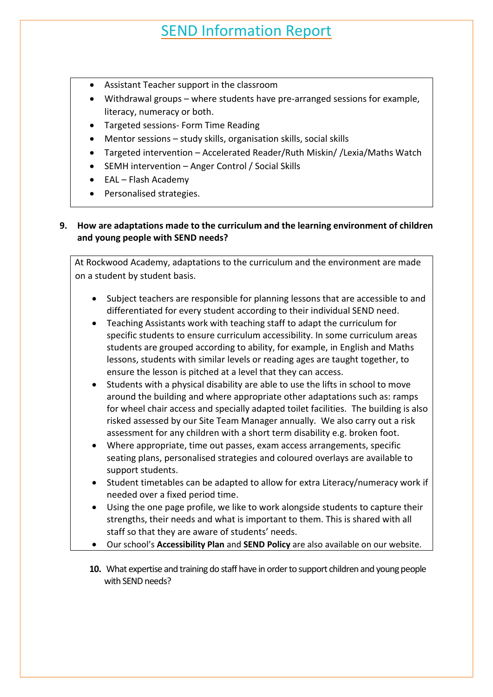- Assistant Teacher support in the classroom
- Withdrawal groups where students have pre-arranged sessions for example, literacy, numeracy or both.
- Targeted sessions- Form Time Reading
- Mentor sessions study skills, organisation skills, social skills
- Targeted intervention Accelerated Reader/Ruth Miskin/ /Lexia/Maths Watch
- SEMH intervention Anger Control / Social Skills
- EAL Flash Academy
- Personalised strategies.

#### **9. How are adaptations made to the curriculum and the learning environment of children and young people with SEND needs?**

At Rockwood Academy, adaptations to the curriculum and the environment are made on a student by student basis.

- Subject teachers are responsible for planning lessons that are accessible to and differentiated for every student according to their individual SEND need.
- Teaching Assistants work with teaching staff to adapt the curriculum for specific students to ensure curriculum accessibility. In some curriculum areas students are grouped according to ability, for example, in English and Maths lessons, students with similar levels or reading ages are taught together, to ensure the lesson is pitched at a level that they can access.
- Students with a physical disability are able to use the lifts in school to move around the building and where appropriate other adaptations such as: ramps for wheel chair access and specially adapted toilet facilities. The building is also risked assessed by our Site Team Manager annually. We also carry out a risk assessment for any children with a short term disability e.g. broken foot.
- Where appropriate, time out passes, exam access arrangements, specific seating plans, personalised strategies and coloured overlays are available to support students.
- Student timetables can be adapted to allow for extra Literacy/numeracy work if needed over a fixed period time.
- Using the one page profile, we like to work alongside students to capture their strengths, their needs and what is important to them. This is shared with all staff so that they are aware of students' needs.
- Our school's **Accessibility Plan** and **SEND Policy** are also available on our website.
- **10.** What expertise and training do staff have in order to support children and young people with SEND needs?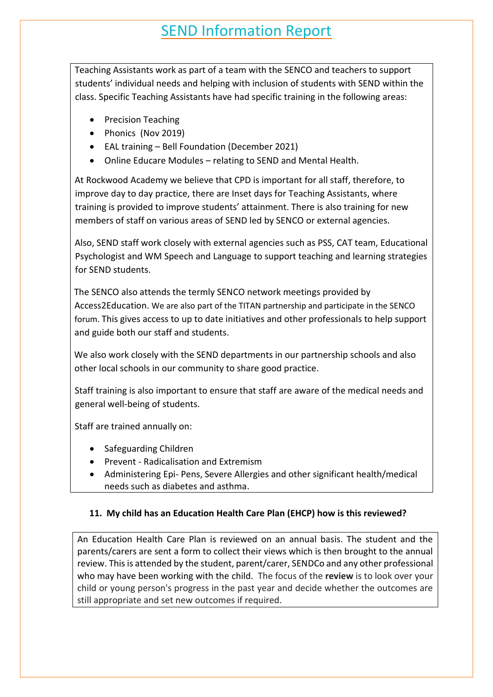Teaching Assistants work as part of a team with the SENCO and teachers to support students' individual needs and helping with inclusion of students with SEND within the class. Specific Teaching Assistants have had specific training in the following areas:

- Precision Teaching
- Phonics (Nov 2019)
- EAL training Bell Foundation (December 2021)
- Online Educare Modules relating to SEND and Mental Health.

At Rockwood Academy we believe that CPD is important for all staff, therefore, to improve day to day practice, there are Inset days for Teaching Assistants, where training is provided to improve students' attainment. There is also training for new members of staff on various areas of SEND led by SENCO or external agencies.

Also, SEND staff work closely with external agencies such as PSS, CAT team, Educational Psychologist and WM Speech and Language to support teaching and learning strategies for SEND students.

The SENCO also attends the termly SENCO network meetings provided by Access2Education. We are also part of the TITAN partnership and participate in the SENCO forum. This gives access to up to date initiatives and other professionals to help support and guide both our staff and students.

We also work closely with the SEND departments in our partnership schools and also other local schools in our community to share good practice.

Staff training is also important to ensure that staff are aware of the medical needs and general well-being of students.

Staff are trained annually on:

- Safeguarding Children
- Prevent Radicalisation and Extremism
- Administering Epi- Pens, Severe Allergies and other significant health/medical needs such as diabetes and asthma.

#### **11. My child has an Education Health Care Plan (EHCP) how is this reviewed?**

An Education Health Care Plan is reviewed on an annual basis. The student and the parents/carers are sent a form to collect their views which is then brought to the annual review. This is attended by the student, parent/carer, SENDCo and any other professional who may have been working with the child. The focus of the **review** is to look over your child or young person's progress in the past year and decide whether the outcomes are still appropriate and set new outcomes if required.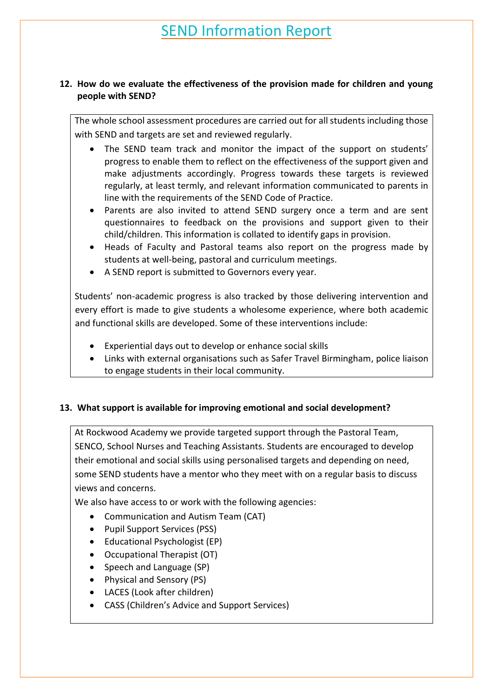#### **12. How do we evaluate the effectiveness of the provision made for children and young people with SEND?**

The whole school assessment procedures are carried out for all students including those with SEND and targets are set and reviewed regularly.

- The SEND team track and monitor the impact of the support on students' progress to enable them to reflect on the effectiveness of the support given and make adjustments accordingly. Progress towards these targets is reviewed regularly, at least termly, and relevant information communicated to parents in line with the requirements of the SEND Code of Practice.
- Parents are also invited to attend SEND surgery once a term and are sent questionnaires to feedback on the provisions and support given to their child/children. This information is collated to identify gaps in provision.
- Heads of Faculty and Pastoral teams also report on the progress made by students at well-being, pastoral and curriculum meetings.
- A SEND report is submitted to Governors every year.

Students' non-academic progress is also tracked by those delivering intervention and every effort is made to give students a wholesome experience, where both academic and functional skills are developed. Some of these interventions include:

- Experiential days out to develop or enhance social skills
- Links with external organisations such as Safer Travel Birmingham, police liaison to engage students in their local community.

#### **13. What support is available for improving emotional and social development?**

At Rockwood Academy we provide targeted support through the Pastoral Team, SENCO, School Nurses and Teaching Assistants. Students are encouraged to develop their emotional and social skills using personalised targets and depending on need, some SEND students have a mentor who they meet with on a regular basis to discuss views and concerns.

We also have access to or work with the following agencies:

- Communication and Autism Team (CAT)
- Pupil Support Services (PSS)
- Educational Psychologist (EP)
- Occupational Therapist (OT)
- Speech and Language (SP)
- Physical and Sensory (PS)
- LACES (Look after children)
- CASS (Children's Advice and Support Services)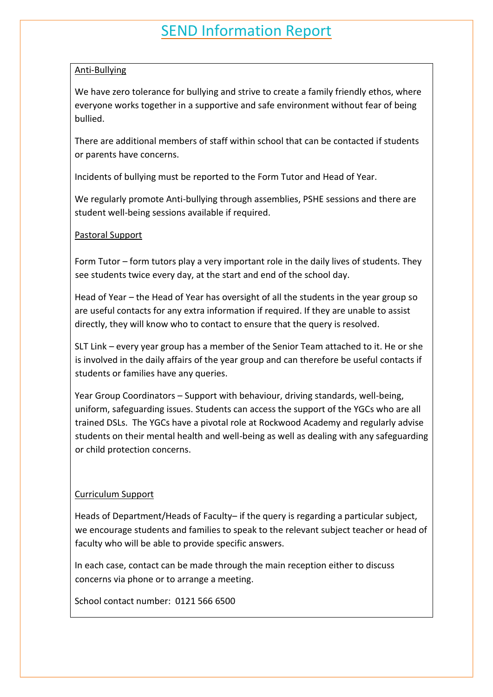#### Anti-Bullying

We have zero tolerance for bullying and strive to create a family friendly ethos, where everyone works together in a supportive and safe environment without fear of being bullied.

There are additional members of staff within school that can be contacted if students or parents have concerns.

Incidents of bullying must be reported to the Form Tutor and Head of Year.

We regularly promote Anti-bullying through assemblies, PSHE sessions and there are student well-being sessions available if required.

#### Pastoral Support

Form Tutor – form tutors play a very important role in the daily lives of students. They see students twice every day, at the start and end of the school day.

Head of Year – the Head of Year has oversight of all the students in the year group so are useful contacts for any extra information if required. If they are unable to assist directly, they will know who to contact to ensure that the query is resolved.

SLT Link – every year group has a member of the Senior Team attached to it. He or she is involved in the daily affairs of the year group and can therefore be useful contacts if students or families have any queries.

Year Group Coordinators – Support with behaviour, driving standards, well-being, uniform, safeguarding issues. Students can access the support of the YGCs who are all trained DSLs. The YGCs have a pivotal role at Rockwood Academy and regularly advise students on their mental health and well-being as well as dealing with any safeguarding or child protection concerns.

#### Curriculum Support

Heads of Department/Heads of Faculty– if the query is regarding a particular subject, we encourage students and families to speak to the relevant subject teacher or head of faculty who will be able to provide specific answers.

In each case, contact can be made through the main reception either to discuss concerns via phone or to arrange a meeting.

School contact number: 0121 566 6500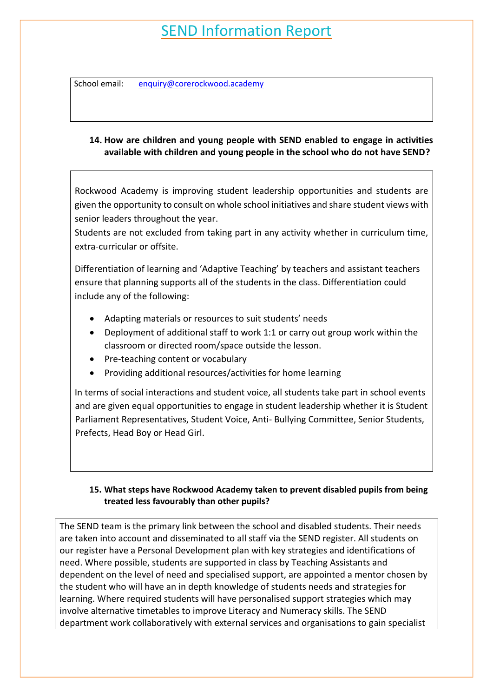School email: enquiry@corerockwood.academy

#### **14. How are children and young people with SEND enabled to engage in activities available with children and young people in the school who do not have SEND?**

Rockwood Academy is improving student leadership opportunities and students are given the opportunity to consult on whole school initiatives and share student views with senior leaders throughout the year.

Students are not excluded from taking part in any activity whether in curriculum time, extra-curricular or offsite.

Differentiation of learning and 'Adaptive Teaching' by teachers and assistant teachers ensure that planning supports all of the students in the class. Differentiation could include any of the following:

- Adapting materials or resources to suit students' needs
- Deployment of additional staff to work 1:1 or carry out group work within the classroom or directed room/space outside the lesson.
- Pre-teaching content or vocabulary
- Providing additional resources/activities for home learning

In terms of social interactions and student voice, all students take part in school events and are given equal opportunities to engage in student leadership whether it is Student Parliament Representatives, Student Voice, Anti- Bullying Committee, Senior Students, Prefects, Head Boy or Head Girl.

#### **15. What steps have Rockwood Academy taken to prevent disabled pupils from being treated less favourably than other pupils?**

The SEND team is the primary link between the school and disabled students. Their needs are taken into account and disseminated to all staff via the SEND register. All students on our register have a Personal Development plan with key strategies and identifications of need. Where possible, students are supported in class by Teaching Assistants and dependent on the level of need and specialised support, are appointed a mentor chosen by the student who will have an in depth knowledge of students needs and strategies for learning. Where required students will have personalised support strategies which may involve alternative timetables to improve Literacy and Numeracy skills. The SEND department work collaboratively with external services and organisations to gain specialist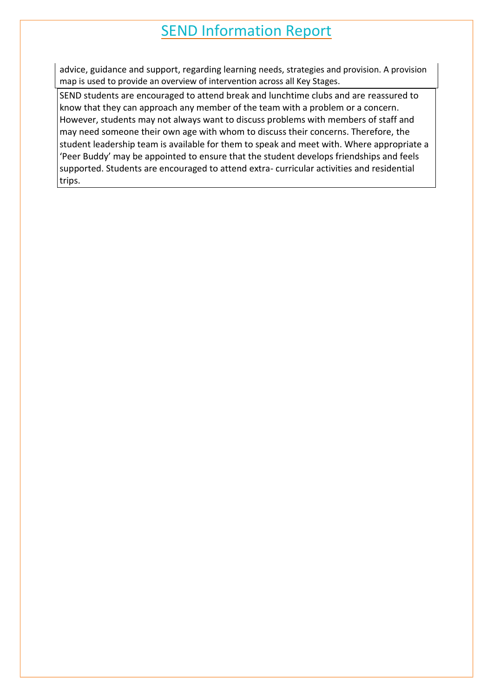advice, guidance and support, regarding learning needs, strategies and provision. A provision map is used to provide an overview of intervention across all Key Stages.

SEND students are encouraged to attend break and lunchtime clubs and are reassured to know that they can approach any member of the team with a problem or a concern. However, students may not always want to discuss problems with members of staff and may need someone their own age with whom to discuss their concerns. Therefore, the student leadership team is available for them to speak and meet with. Where appropriate a 'Peer Buddy' may be appointed to ensure that the student develops friendships and feels supported. Students are encouraged to attend extra- curricular activities and residential trips.